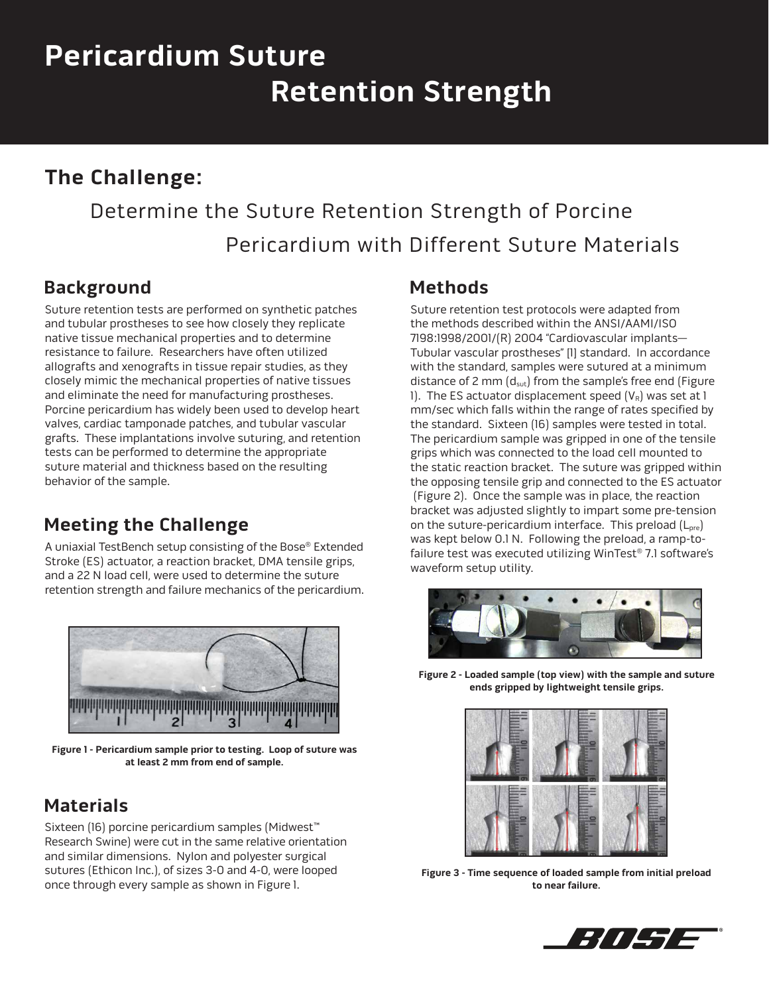# **Pericardium Suture Retention Strength**

## **The Challenge:**

## Determine the Suture Retention Strength of Porcine Pericardium with Different Suture Materials

#### **Background**

Suture retention tests are performed on synthetic patches and tubular prostheses to see how closely they replicate native tissue mechanical properties and to determine resistance to failure. Researchers have often utilized allografts and xenografts in tissue repair studies, as they closely mimic the mechanical properties of native tissues and eliminate the need for manufacturing prostheses. Porcine pericardium has widely been used to develop heart valves, cardiac tamponade patches, and tubular vascular grafts. These implantations involve suturing, and retention tests can be performed to determine the appropriate suture material and thickness based on the resulting behavior of the sample.

## **Meeting the Challenge**

A uniaxial TestBench setup consisting of the Bose® Extended Stroke (ES) actuator, a reaction bracket, DMA tensile grips, and a 22 N load cell, were used to determine the suture retention strength and failure mechanics of the pericardium.



**Figure 1 - Pericardium sample prior to testing. Loop of suture was at least 2 mm from end of sample.** 

## **Materials**

Sixteen (16) porcine pericardium samples (Midwest™ Research Swine) were cut in the same relative orientation and similar dimensions. Nylon and polyester surgical sutures (Ethicon Inc.), of sizes 3-0 and 4-0, were looped once through every sample as shown in Figure 1.

#### **Methods**

Suture retention test protocols were adapted from the methods described within the ANSI/AAMI/ISO 7198:1998/2001/(R) 2004 "Cardiovascular implants— Tubular vascular prostheses" [1] standard. In accordance with the standard, samples were sutured at a minimum distance of 2 mm  $(d_{sut})$  from the sample's free end (Figure 1). The ES actuator displacement speed  $(V_R)$  was set at 1 mm/sec which falls within the range of rates specified by the standard. Sixteen (16) samples were tested in total. The pericardium sample was gripped in one of the tensile grips which was connected to the load cell mounted to the static reaction bracket. The suture was gripped within the opposing tensile grip and connected to the ES actuator (Figure 2). Once the sample was in place, the reaction bracket was adjusted slightly to impart some pre-tension on the suture-pericardium interface. This preload  $(L_{pre})$ was kept below 0.1 N. Following the preload, a ramp-tofailure test was executed utilizing WinTest® 7.1 software's waveform setup utility.



**Figure 2 - Loaded sample (top view) with the sample and suture ends gripped by lightweight tensile grips.**



**Figure 3 - Time sequence of loaded sample from initial preload to near failure.**